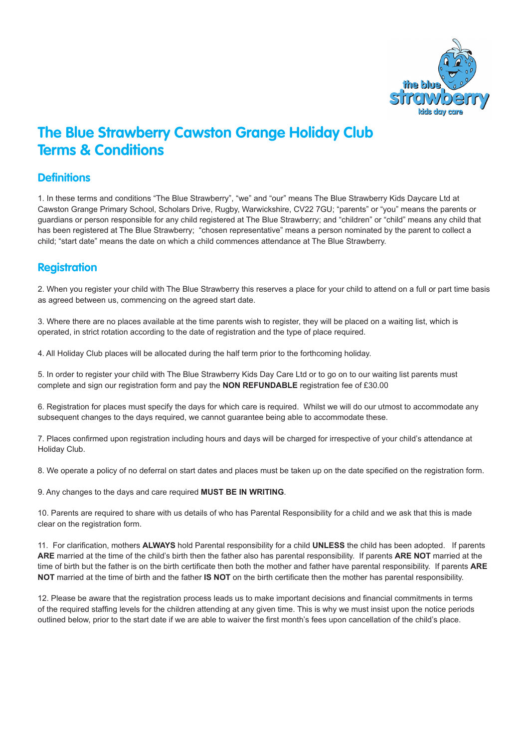

# **The Blue Strawberry Cawston Grange Holiday Club Terms & Conditions**

#### **Definitions**

1. In these terms and conditions "The Blue Strawberry", "we" and "our" means The Blue Strawberry Kids Daycare Ltd at Cawston Grange Primary School, Scholars Drive, Rugby, Warwickshire, CV22 7GU; "parents" or "you" means the parents or guardians or person responsible for any child registered at The Blue Strawberry; and "children" or "child" means any child that has been registered at The Blue Strawberry; "chosen representative" means a person nominated by the parent to collect a child; "start date" means the date on which a child commences attendance at The Blue Strawberry.

## **Registration**

2. When you register your child with The Blue Strawberry this reserves a place for your child to attend on a full or part time basis as agreed between us, commencing on the agreed start date.

3. Where there are no places available at the time parents wish to register, they will be placed on a waiting list, which is operated, in strict rotation according to the date of registration and the type of place required.

4. All Holiday Club places will be allocated during the half term prior to the forthcoming holiday.

5. In order to register your child with The Blue Strawberry Kids Day Care Ltd or to go on to our waiting list parents must complete and sign our registration form and pay the **NON REFUNDABLE** registration fee of £30.00

6. Registration for places must specify the days for which care is required. Whilst we will do our utmost to accommodate any subsequent changes to the days required, we cannot guarantee being able to accommodate these.

7. Places confirmed upon registration including hours and days will be charged for irrespective of your child's attendance at Holiday Club.

8. We operate a policy of no deferral on start dates and places must be taken up on the date specified on the registration form.

9. Any changes to the days and care required **MUST BE IN WRITING**.

10. Parents are required to share with us details of who has Parental Responsibility for a child and we ask that this is made clear on the registration form.

11. For clarification, mothers **ALWAYS** hold Parental responsibility for a child **UNLESS** the child has been adopted. If parents **ARE** married at the time of the child's birth then the father also has parental responsibility. If parents **ARE NOT** married at the time of birth but the father is on the birth certificate then both the mother and father have parental responsibility. If parents **ARE NOT** married at the time of birth and the father **IS NOT** on the birth certificate then the mother has parental responsibility.

12. Please be aware that the registration process leads us to make important decisions and financial commitments in terms of the required staffing levels for the children attending at any given time. This is why we must insist upon the notice periods outlined below, prior to the start date if we are able to waiver the first month's fees upon cancellation of the child's place.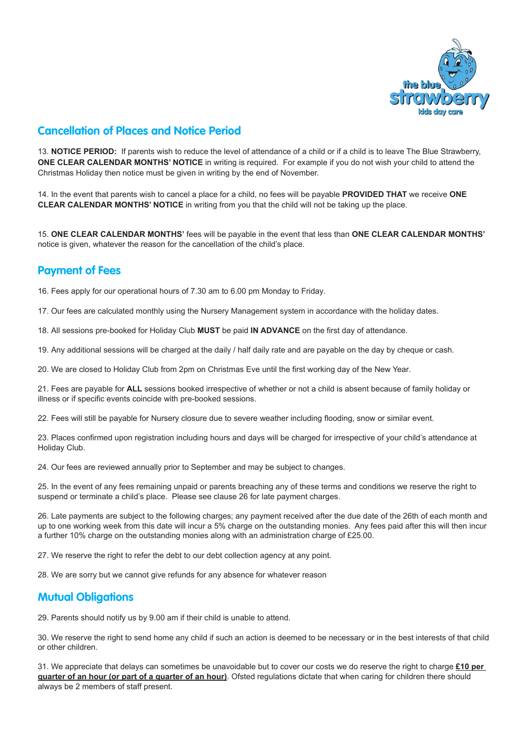

# **Cancellation of Places and Notice Period**

13. **NOTICE PERIOD:** If parents wish to reduce the level of attendance of a child or if a child is to leave The Blue Strawberry, **ONE CLEAR CALENDAR MONTHS' NOTICE** in writing is required. For example if you do not wish your child to attend the Christmas Holiday then notice must be given in writing by the end of November.

14. In the event that parents wish to cancel a place for a child, no fees will be payable **PROVIDED THAT** we receive **ONE CLEAR CALENDAR MONTHS' NOTICE** in writing from you that the child will not be taking up the place.

15. **ONE CLEAR CALENDAR MONTHS'** fees will be payable in the event that less than **ONE CLEAR CALENDAR MONTHS'** notice is given, whatever the reason for the cancellation of the child's place.

## **Payment of Fees**

16. Fees apply for our operational hours of 7.30 am to 6.00 pm Monday to Friday.

17. Our fees are calculated monthly using the Nursery Management system in accordance with the holiday dates.

18. All sessions pre-booked for Holiday Club **MUST** be paid **IN ADVANCE** on the first day of attendance.

19. Any additional sessions will be charged at the daily / half daily rate and are payable on the day by cheque or cash.

20. We are closed to Holiday Club from 2pm on Christmas Eve until the first working day of the New Year.

21. Fees are payable for **ALL** sessions booked irrespective of whether or not a child is absent because of family holiday or illness or if specific events coincide with pre-booked sessions.

22. Fees will still be payable for Nursery closure due to severe weather including flooding, snow or similar event.

23. Places confirmed upon registration including hours and days will be charged for irrespective of your child's attendance at Holiday Club.

24. Our fees are reviewed annually prior to September and may be subject to changes.

25. In the event of any fees remaining unpaid or parents breaching any of these terms and conditions we reserve the right to suspend or terminate a child's place. Please see clause 26 for late payment charges.

26. Late payments are subject to the following charges; any payment received after the due date of the 26th of each month and up to one working week from this date will incur a 5% charge on the outstanding monies. Any fees paid after this will then incur a further 10% charge on the outstanding monies along with an administration charge of £25.00.

27. We reserve the right to refer the debt to our debt collection agency at any point.

28. We are sorry but we cannot give refunds for any absence for whatever reason

### **Mutual Obligations**

29. Parents should notify us by 9.00 am if their child is unable to attend.

30. We reserve the right to send home any child if such an action is deemed to be necessary or in the best interests of that child or other children.

31. We appreciate that delays can sometimes be unavoidable but to cover our costs we do reserve the right to charge **£10 per quarter of an hour (or part of a quarter of an hour)**. Ofsted regulations dictate that when caring for children there should always be 2 members of staff present.